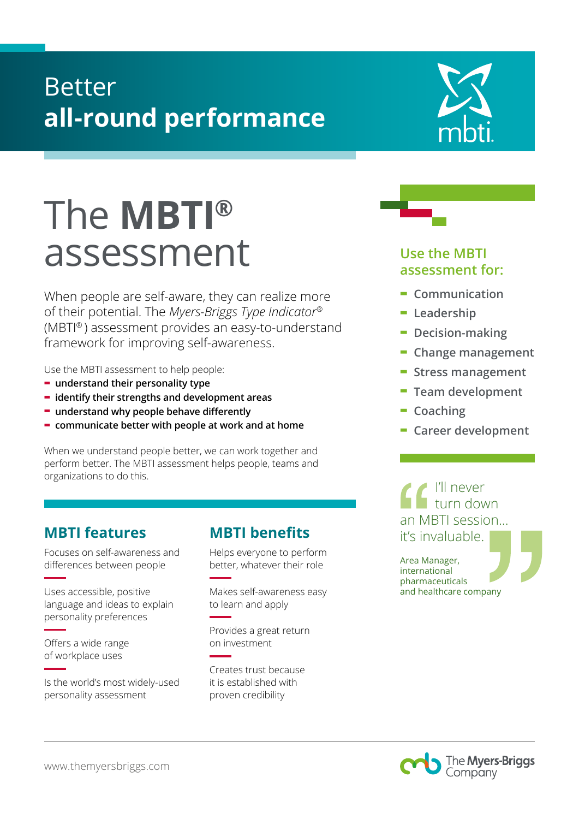### Better **all-round performance**

# The **MBTI®**  assessment

When people are self-aware, they can realize more of their potential. The *Myers-Briggs Type Indicator®*  (MBTI® ) assessment provides an easy-to-understand framework for improving self-awareness.

Use the MBTI assessment to help people:

- **- understand their personality type**
- **- identify their strengths and development areas**
- **- understand why people behave differently**
- **- communicate better with people at work and at home**

When we understand people better, we can work together and perform better. The MBTI assessment helps people, teams and organizations to do this.

### **MBTI features**

Focuses on self-awareness and differences between people

Uses accessible, positive language and ideas to explain personality preferences

Offers a wide range of workplace uses

Is the world's most widely-used personality assessment

### **MBTI benefits**

Helps everyone to perform better, whatever their role

Makes self-awareness easy to learn and apply

Provides a great return on investment

Creates trust because it is established with proven credibility



### **Use the MBTI assessment for:**

- **- Communication**
- **- Leadership**
- **- Decision-making**
- **- Change management**
- **- Stress management**
- **- Team development**
- **- Coaching**
- **- Career development**

I'll never turn down an MBTI session... it's invaluable.

Area Manager, international pharmaceuticals and healthcare company